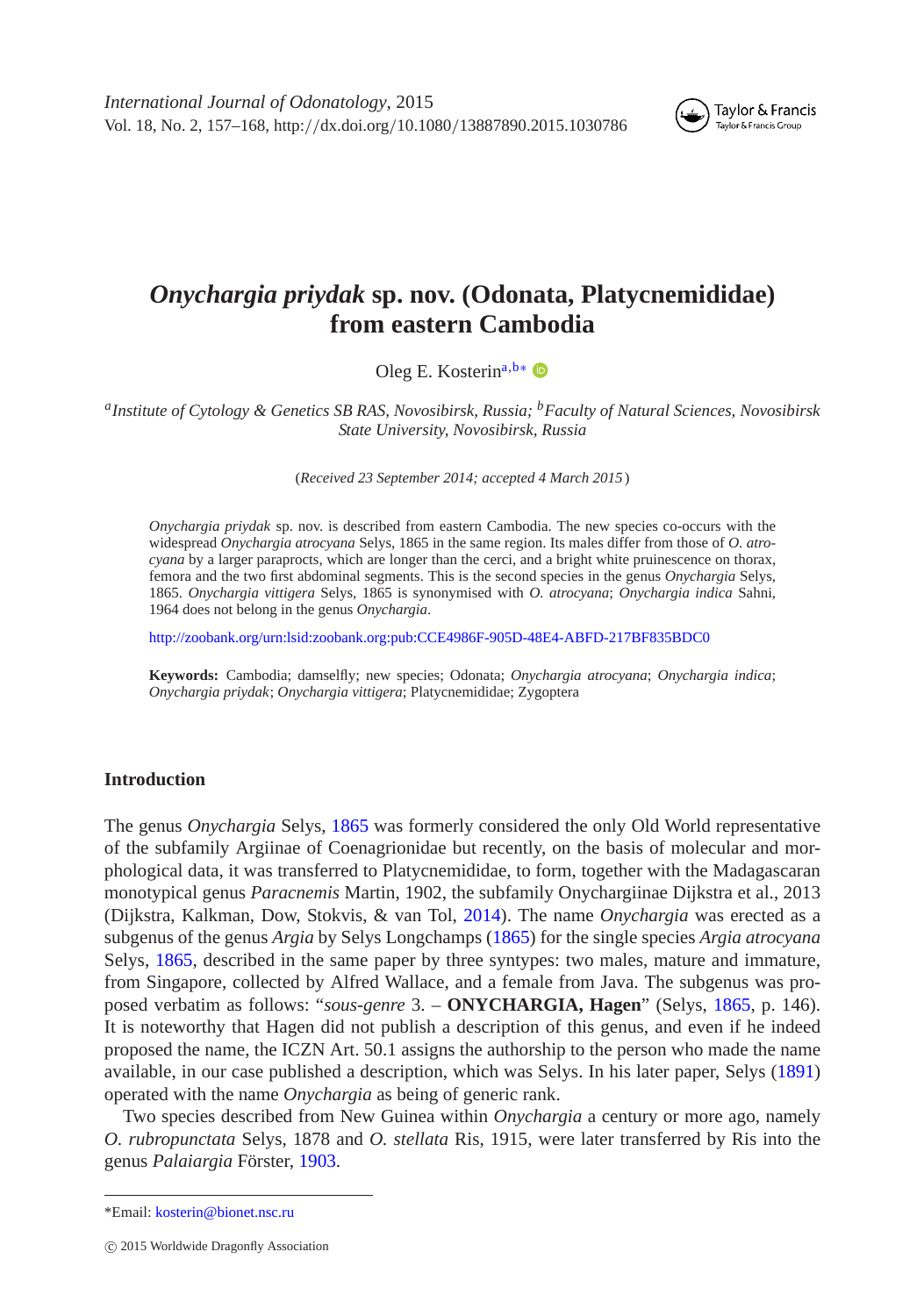*International Journal of Odonatology*, 2015 Vol. 18, No. 2, 157–168, http:*//*dx.doi.org*/*10.1080*/*13887890.2015.1030786



# *Onychargia priydak* **sp. nov. (Odonata, Platycnemididae) from eastern Cambodia**

<span id="page-0-1"></span>Oleg E. Kosterin<sup>[a,](#page-0-0)[b](#page-0-1)[∗](#page-0-2)</sup> <sup>D</sup>

<span id="page-0-0"></span>*aInstitute of Cytology & Genetics SB RAS, Novosibirsk, Russia; bFaculty of Natural Sciences, Novosibirsk State University, Novosibirsk, Russia*

(*Received 23 September 2014; accepted 4 March 2015* )

*Onychargia priydak* sp. nov. is described from eastern Cambodia. The new species co-occurs with the widespread *Onychargia atrocyana* Selys, 1865 in the same region. Its males differ from those of *O. atrocyana* by a larger paraprocts, which are longer than the cerci, and a bright white pruinescence on thorax, femora and the two first abdominal segments. This is the second species in the genus *Onychargia* Selys, 1865. *Onychargia vittigera* Selys, 1865 is synonymised with *O. atrocyana*; *Onychargia indica* Sahni, 1964 does not belong in the genus *Onychargia*.

<http://zoobank.org/urn:lsid:zoobank.org:pub:CCE4986F-905D-48E4-ABFD-217BF835BDC0>

**Keywords:** Cambodia; damselfly; new species; Odonata; *Onychargia atrocyana*; *Onychargia indica*; *Onychargia priydak*; *Onychargia vittigera*; Platycnemididae; Zygoptera

#### **Introduction**

The genus *Onychargia* Selys, [1865](#page-11-0) was formerly considered the only Old World representative of the subfamily Argiinae of Coenagrionidae but recently, on the basis of molecular and morphological data, it was transferred to Platycnemididae, to form, together with the Madagascaran monotypical genus *Paracnemis* Martin, 1902, the subfamily Onychargiinae Dijkstra et al., 2013 (Dijkstra, Kalkman, Dow, Stokvis, & van Tol, [2014\)](#page-11-1). The name *Onychargia* was erected as a subgenus of the genus *Argia* by Selys Longchamps [\(1865\)](#page-11-0) for the single species *Argia atrocyana* Selys, [1865,](#page-11-0) described in the same paper by three syntypes: two males, mature and immature, from Singapore, collected by Alfred Wallace, and a female from Java. The subgenus was proposed verbatim as follows: "*sous-genre* 3. – **ONYCHARGIA, Hagen**" (Selys, [1865,](#page-11-0) p. 146). It is noteworthy that Hagen did not publish a description of this genus, and even if he indeed proposed the name, the ICZN Art. 50.1 assigns the authorship to the person who made the name available, in our case published a description, which was Selys. In his later paper, Selys [\(1891\)](#page-11-2) operated with the name *Onychargia* as being of generic rank.

Two species described from New Guinea within *Onychargia* a century or more ago, namely *O. rubropunctata* Selys, 1878 and *O. stellata* Ris, 1915, were later transferred by Ris into the genus *Palaiargia* Förster, [1903.](#page-11-3)

<span id="page-0-2"></span><sup>\*</sup>Email: [kosterin@bionet.nsc.ru](mailto:kosterin@bionet.nsc.ru)

c 2015 Worldwide Dragonfly Association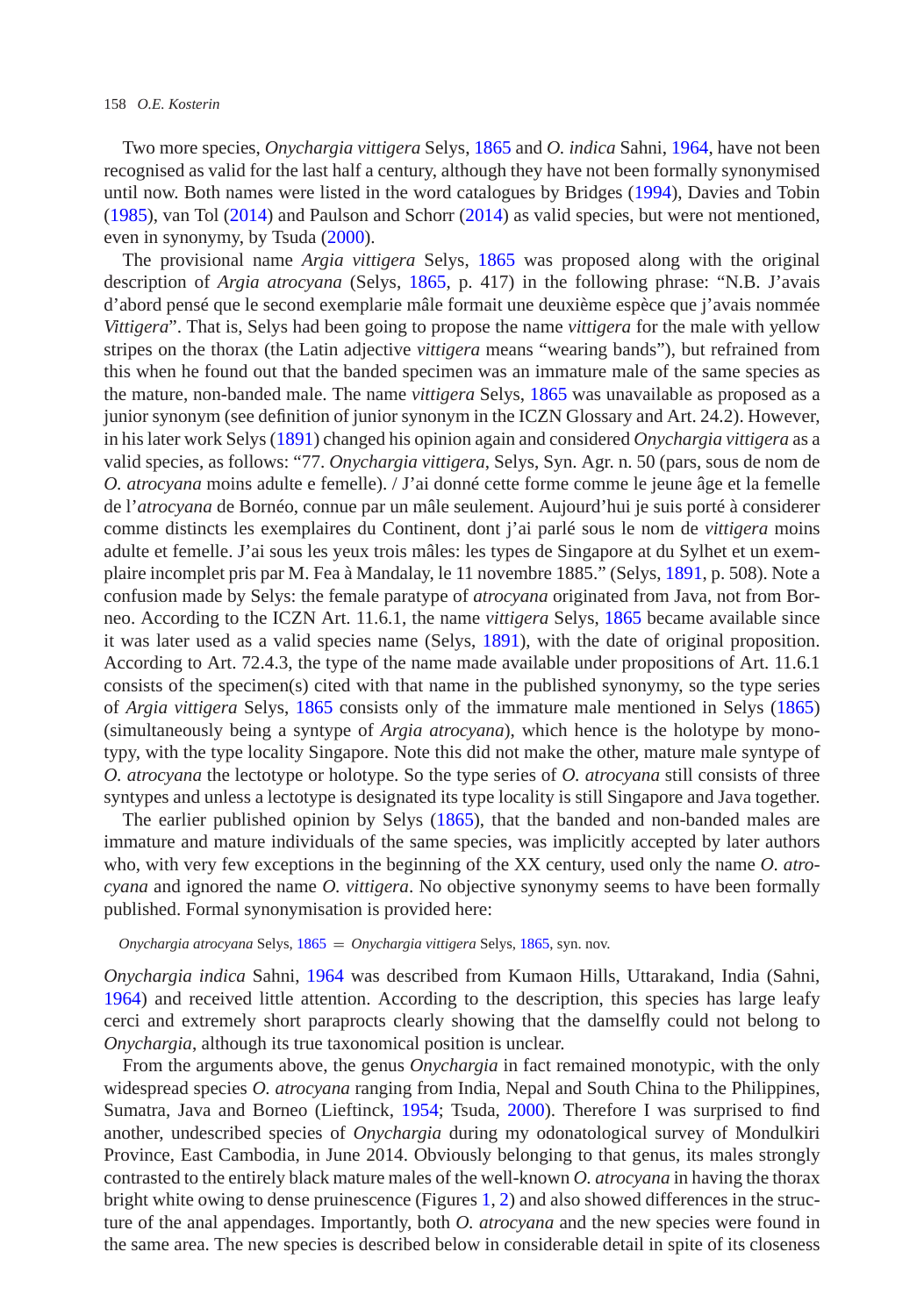#### 158 *O.E. Kosterin*

Two more species, *Onychargia vittigera* Selys, [1865](#page-11-0) and *O. indica* Sahni, [1964,](#page-11-4) have not been recognised as valid for the last half a century, although they have not been formally synonymised until now. Both names were listed in the word catalogues by Bridges [\(1994\)](#page-11-5), Davies and Tobin [\(1985\)](#page-11-6), van Tol [\(2014\)](#page-11-7) and Paulson and Schorr [\(2014\)](#page-11-8) as valid species, but were not mentioned, even in synonymy, by Tsuda [\(2000\)](#page-11-9).

The provisional name *Argia vittigera* Selys, [1865](#page-11-0) was proposed along with the original description of *Argia atrocyana* (Selys, [1865,](#page-11-0) p. 417) in the following phrase: "N.B. J'avais d'abord pensé que le second exemplarie mâle formait une deuxième espèce que j'avais nommée *Vittigera*". That is, Selys had been going to propose the name *vittigera* for the male with yellow stripes on the thorax (the Latin adjective *vittigera* means "wearing bands"), but refrained from this when he found out that the banded specimen was an immature male of the same species as the mature, non-banded male. The name *vittigera* Selys, [1865](#page-11-0) was unavailable as proposed as a junior synonym (see definition of junior synonym in the ICZN Glossary and Art. 24.2). However, in his later work Selys [\(1891\)](#page-11-2) changed his opinion again and considered *Onychargia vittigera* as a valid species, as follows: "77. *Onychargia vittigera*, Selys, Syn. Agr. n. 50 (pars, sous de nom de *O. atrocyana* moins adulte e femelle). / J'ai donné cette forme comme le jeune âge et la femelle de l'*atrocyana* de Bornéo, connue par un mâle seulement. Aujourd'hui je suis porté à considerer comme distincts les exemplaires du Continent, dont j'ai parlé sous le nom de *vittigera* moins adulte et femelle. J'ai sous les yeux trois mâles: les types de Singapore at du Sylhet et un exemplaire incomplet pris par M. Fea à Mandalay, le 11 novembre 1885." (Selys, [1891,](#page-11-2) p. 508). Note a confusion made by Selys: the female paratype of *atrocyana* originated from Java, not from Borneo. According to the ICZN Art. 11.6.1, the name *vittigera* Selys, [1865](#page-11-0) became available since it was later used as a valid species name (Selys, [1891\)](#page-11-2), with the date of original proposition. According to Art. 72.4.3, the type of the name made available under propositions of Art. 11.6.1 consists of the specimen(s) cited with that name in the published synonymy, so the type series of *Argia vittigera* Selys, [1865](#page-11-0) consists only of the immature male mentioned in Selys [\(1865\)](#page-11-0) (simultaneously being a syntype of *Argia atrocyana*), which hence is the holotype by monotypy, with the type locality Singapore. Note this did not make the other, mature male syntype of *O. atrocyana* the lectotype or holotype. So the type series of *O. atrocyana* still consists of three syntypes and unless a lectotype is designated its type locality is still Singapore and Java together.

The earlier published opinion by Selys [\(1865\)](#page-11-0), that the banded and non-banded males are immature and mature individuals of the same species, was implicitly accepted by later authors who, with very few exceptions in the beginning of the XX century, used only the name *O. atrocyana* and ignored the name *O. vittigera*. No objective synonymy seems to have been formally published. Formal synonymisation is provided here:

#### *Onychargia atrocyana* Selys, [1865](#page-11-0) = *Onychargia vittigera* Selys, [1865,](#page-11-0) syn. nov.

*Onychargia indica* Sahni, [1964](#page-11-4) was described from Kumaon Hills, Uttarakand, India (Sahni, [1964\)](#page-11-4) and received little attention. According to the description, this species has large leafy cerci and extremely short paraprocts clearly showing that the damselfly could not belong to *Onychargia*, although its true taxonomical position is unclear.

From the arguments above, the genus *Onychargia* in fact remained monotypic, with the only widespread species *O. atrocyana* ranging from India, Nepal and South China to the Philippines, Sumatra, Java and Borneo (Lieftinck, [1954;](#page-11-10) Tsuda, [2000\)](#page-11-9). Therefore I was surprised to find another, undescribed species of *Onychargia* during my odonatological survey of Mondulkiri Province, East Cambodia, in June 2014. Obviously belonging to that genus, its males strongly contrasted to the entirely black mature males of the well-known *O. atrocyana* in having the thorax bright white owing to dense pruinescence (Figures [1,](#page-2-0) [2\)](#page-3-0) and also showed differences in the structure of the anal appendages. Importantly, both *O. atrocyana* and the new species were found in the same area. The new species is described below in considerable detail in spite of its closeness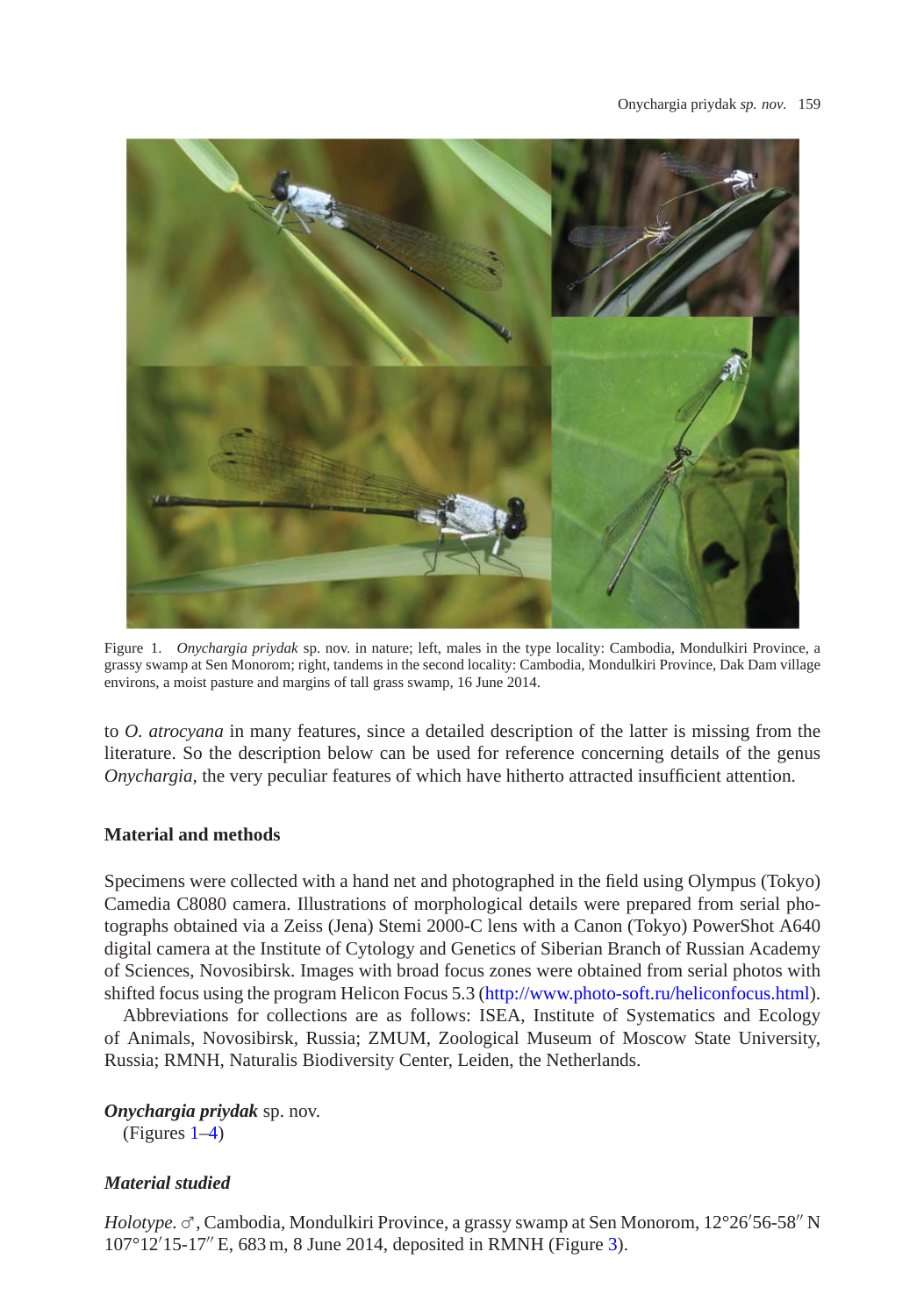

Figure 1. *Onychargia priydak* sp. nov. in nature; left, males in the type locality: Cambodia, Mondulkiri Province, a grassy swamp at Sen Monorom; right, tandems in the second locality: Cambodia, Mondulkiri Province, Dak Dam village environs, a moist pasture and margins of tall grass swamp, 16 June 2014.

<span id="page-2-0"></span>to *O. atrocyana* in many features, since a detailed description of the latter is missing from the literature. So the description below can be used for reference concerning details of the genus *Onychargia*, the very peculiar features of which have hitherto attracted insufficient attention.

## **Material and methods**

Specimens were collected with a hand net and photographed in the field using Olympus (Tokyo) Camedia C8080 camera. Illustrations of morphological details were prepared from serial photographs obtained via a Zeiss (Jena) Stemi 2000-C lens with a Canon (Tokyo) PowerShot A640 digital camera at the Institute of Cytology and Genetics of Siberian Branch of Russian Academy of Sciences, Novosibirsk. Images with broad focus zones were obtained from serial photos with shifted focus using the program Helicon Focus 5.3 [\(http://www.photo-soft.ru/heliconfocus.html\)](http://www.photo-soft.ru/heliconfocus.html).

Abbreviations for collections are as follows: ISEA, Institute of Systematics and Ecology of Animals, Novosibirsk, Russia; ZMUM, Zoological Museum of Moscow State University, Russia; RMNH, Naturalis Biodiversity Center, Leiden, the Netherlands.

*Onychargia priydak* sp. nov.

(Figures [1](#page-2-0)[–4\)](#page-5-0)

## *Material studied*

*Holotype.* ♂, Cambodia, Mondulkiri Province, a grassy swamp at Sen Monorom, 12°26'56-58" N 107°12 15-17 E, 683 m, 8 June 2014, deposited in RMNH (Figure [3\)](#page-4-0).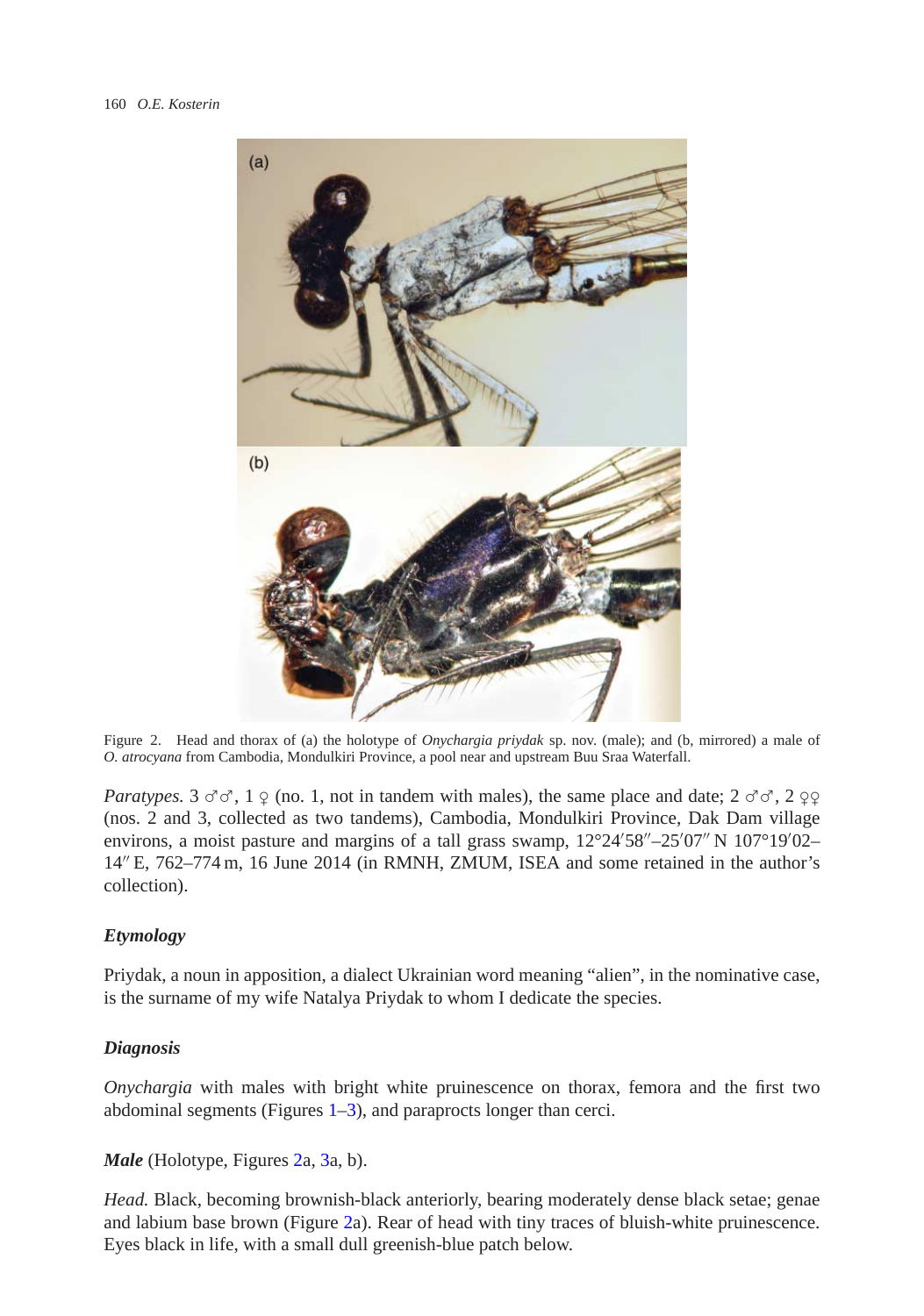

Figure 2. Head and thorax of (a) the holotype of *Onychargia priydak* sp. nov. (male); and (b, mirrored) a male of *O. atrocyana* from Cambodia, Mondulkiri Province, a pool near and upstream Buu Sraa Waterfall.

<span id="page-3-0"></span>*Paratypes.* 3  $\sigma$  $\sigma$ , 1  $\sigma$  (no. 1, not in tandem with males), the same place and date; 2  $\sigma$  $\sigma$ , 2  $\sigma$ (nos. 2 and 3, collected as two tandems), Cambodia, Mondulkiri Province, Dak Dam village environs, a moist pasture and margins of a tall grass swamp,  $12^{\circ}24'58'' - 25'07'' N 107^{\circ}19'02 -$ 14 E, 762–774 m, 16 June 2014 (in RMNH, ZMUM, ISEA and some retained in the author's collection).

## *Etymology*

Priydak, a noun in apposition, a dialect Ukrainian word meaning "alien", in the nominative case, is the surname of my wife Natalya Priydak to whom I dedicate the species.

#### *Diagnosis*

*Onychargia* with males with bright white pruinescence on thorax, femora and the first two abdominal segments (Figures [1](#page-2-0)[–3\)](#page-4-0), and paraprocts longer than cerci.

*Male* (Holotype, Figures [2a](#page-3-0), [3a](#page-4-0), b).

*Head.* Black, becoming brownish-black anteriorly, bearing moderately dense black setae; genae and labium base brown (Figure [2a](#page-3-0)). Rear of head with tiny traces of bluish-white pruinescence. Eyes black in life, with a small dull greenish-blue patch below.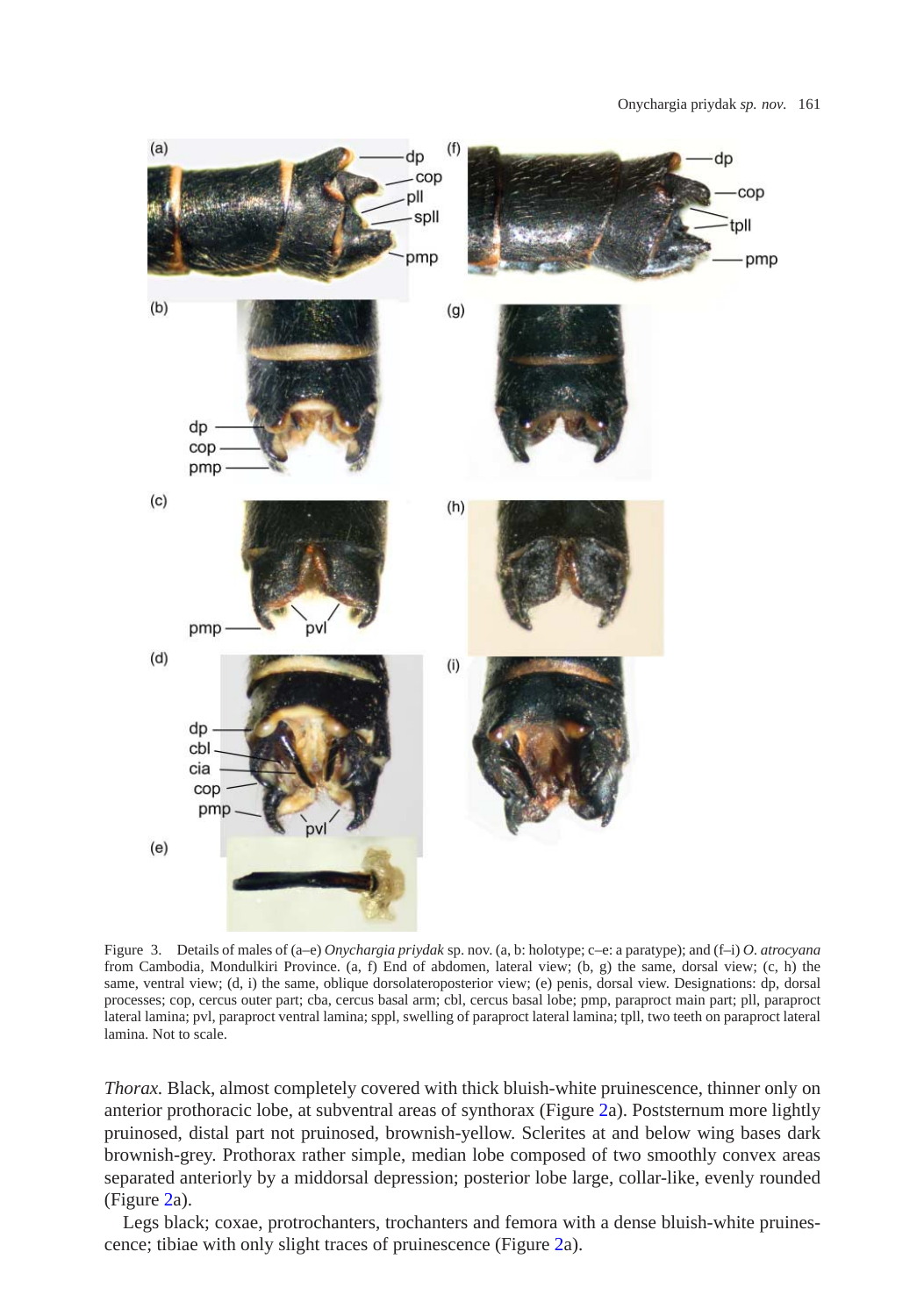

<span id="page-4-0"></span>Figure 3. Details of males of (a–e) *Onychargia priydak* sp. nov. (a, b: holotype; c–e: a paratype); and (f–i) *O. atrocyana* from Cambodia, Mondulkiri Province. (a, f) End of abdomen, lateral view; (b, g) the same, dorsal view; (c, h) the same, ventral view; (d, i) the same, oblique dorsolateroposterior view; (e) penis, dorsal view. Designations: dp, dorsal processes; cop, cercus outer part; cba, cercus basal arm; cbl, cercus basal lobe; pmp, paraproct main part; pll, paraproct lateral lamina; pvl, paraproct ventral lamina; sppl, swelling of paraproct lateral lamina; tpll, two teeth on paraproct lateral lamina. Not to scale.

*Thorax.* Black, almost completely covered with thick bluish-white pruinescence, thinner only on anterior prothoracic lobe, at subventral areas of synthorax (Figure [2a](#page-3-0)). Poststernum more lightly pruinosed, distal part not pruinosed, brownish-yellow. Sclerites at and below wing bases dark brownish-grey. Prothorax rather simple, median lobe composed of two smoothly convex areas separated anteriorly by a middorsal depression; posterior lobe large, collar-like, evenly rounded (Figure [2a](#page-3-0)).

Legs black; coxae, protrochanters, trochanters and femora with a dense bluish-white pruinescence; tibiae with only slight traces of pruinescence (Figure [2a](#page-3-0)).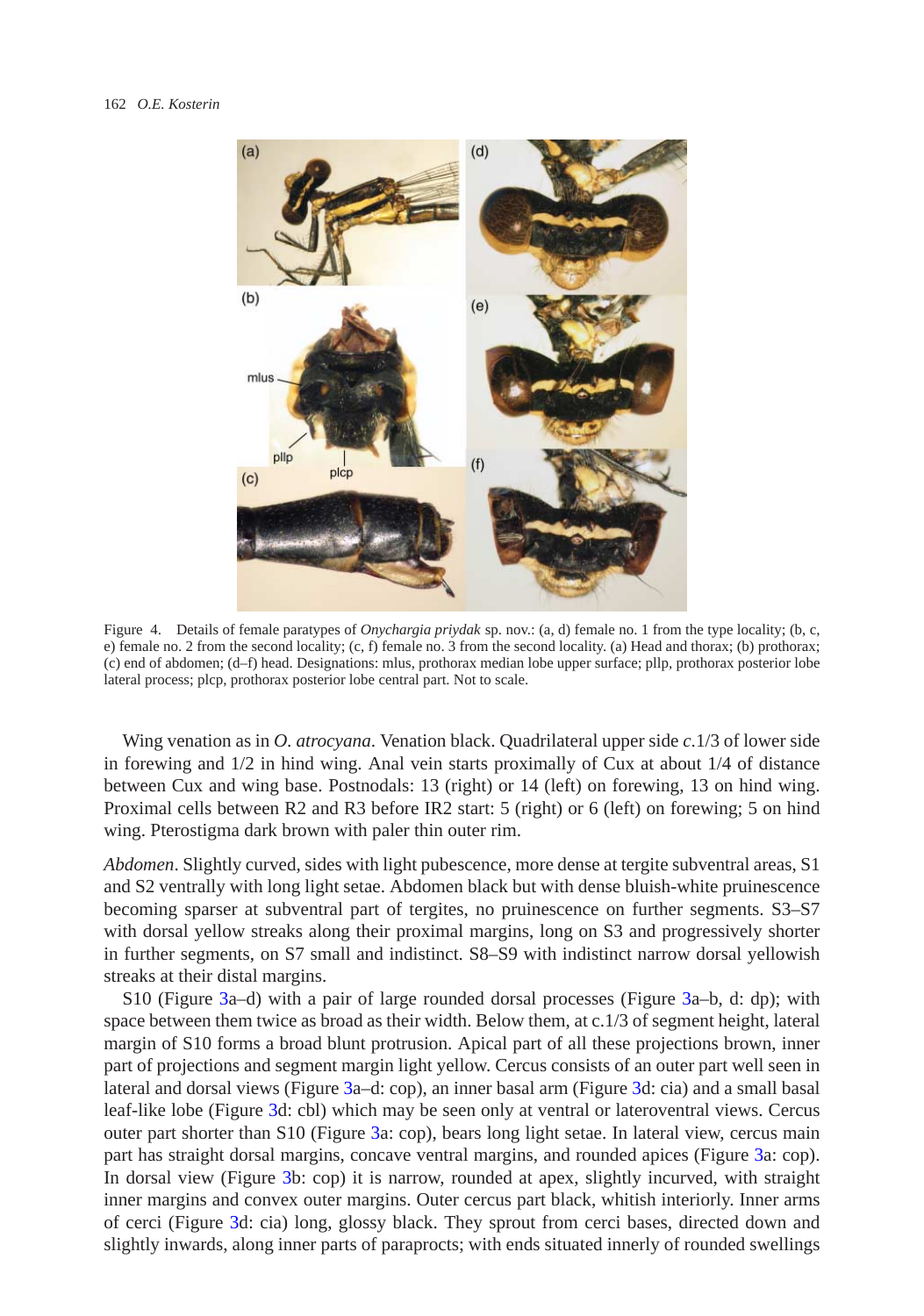

Figure 4. Details of female paratypes of *Onychargia priydak* sp. nov.: (a, d) female no. 1 from the type locality; (b, c, e) female no. 2 from the second locality; (c, f) female no. 3 from the second locality. (a) Head and thorax; (b) prothorax; (c) end of abdomen; (d–f) head. Designations: mlus, prothorax median lobe upper surface; pllp, prothorax posterior lobe lateral process; plcp, prothorax posterior lobe central part. Not to scale.

<span id="page-5-0"></span>Wing venation as in *O. atrocyana*. Venation black. Quadrilateral upper side *c*.1/3 of lower side in forewing and 1/2 in hind wing. Anal vein starts proximally of Cux at about 1/4 of distance between Cux and wing base. Postnodals: 13 (right) or 14 (left) on forewing, 13 on hind wing. Proximal cells between R2 and R3 before IR2 start: 5 (right) or 6 (left) on forewing; 5 on hind wing. Pterostigma dark brown with paler thin outer rim.

*Abdomen*. Slightly curved, sides with light pubescence, more dense at tergite subventral areas, S1 and S2 ventrally with long light setae. Abdomen black but with dense bluish-white pruinescence becoming sparser at subventral part of tergites, no pruinescence on further segments. S3–S7 with dorsal yellow streaks along their proximal margins, long on S3 and progressively shorter in further segments, on S7 small and indistinct. S8–S9 with indistinct narrow dorsal yellowish streaks at their distal margins.

S10 (Figure [3a](#page-4-0)–d) with a pair of large rounded dorsal processes (Figure [3a](#page-4-0)–b, d: dp); with space between them twice as broad as their width. Below them, at c.1/3 of segment height, lateral margin of S10 forms a broad blunt protrusion. Apical part of all these projections brown, inner part of projections and segment margin light yellow. Cercus consists of an outer part well seen in lateral and dorsal views (Figure [3a](#page-4-0)–d: cop), an inner basal arm (Figure [3d](#page-4-0): cia) and a small basal leaf-like lobe (Figure [3d](#page-4-0): cbl) which may be seen only at ventral or lateroventral views. Cercus outer part shorter than S10 (Figure [3a](#page-4-0): cop), bears long light setae. In lateral view, cercus main part has straight dorsal margins, concave ventral margins, and rounded apices (Figure [3a](#page-4-0): cop). In dorsal view (Figure [3b](#page-4-0): cop) it is narrow, rounded at apex, slightly incurved, with straight inner margins and convex outer margins. Outer cercus part black, whitish interiorly. Inner arms of cerci (Figure [3d](#page-4-0): cia) long, glossy black. They sprout from cerci bases, directed down and slightly inwards, along inner parts of paraprocts; with ends situated innerly of rounded swellings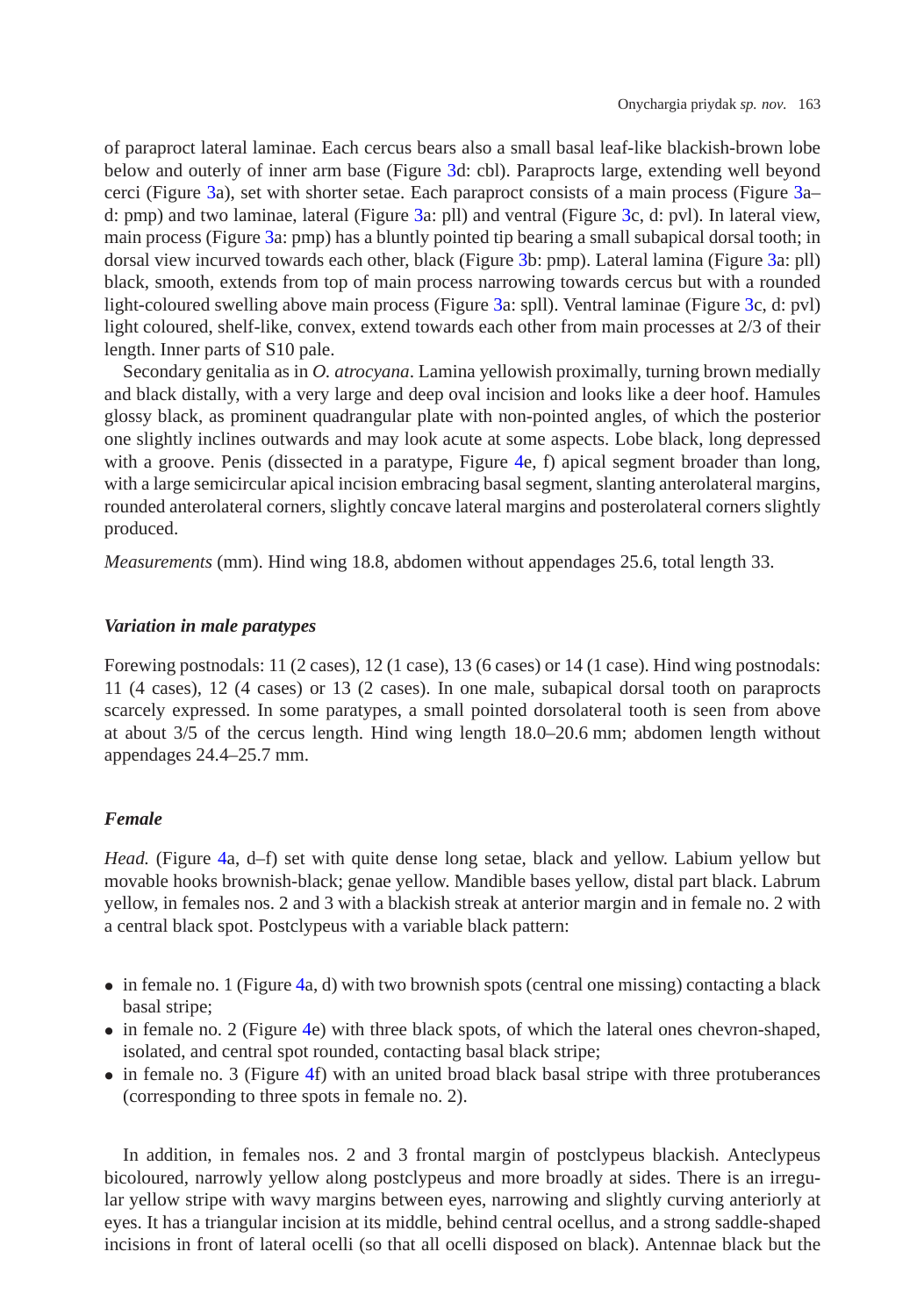of paraproct lateral laminae. Each cercus bears also a small basal leaf-like blackish-brown lobe below and outerly of inner arm base (Figure [3d](#page-4-0): cbl). Paraprocts large, extending well beyond cerci (Figure [3a](#page-4-0)), set with shorter setae. Each paraproct consists of a main process (Figure [3a](#page-4-0)– d: pmp) and two laminae, lateral (Figure [3a](#page-4-0): pll) and ventral (Figure [3c](#page-4-0), d: pvl). In lateral view, main process (Figure [3a](#page-4-0): pmp) has a bluntly pointed tip bearing a small subapical dorsal tooth; in dorsal view incurved towards each other, black (Figure [3b](#page-4-0): pmp). Lateral lamina (Figure [3a](#page-4-0): pll) black, smooth, extends from top of main process narrowing towards cercus but with a rounded light-coloured swelling above main process (Figure [3a](#page-4-0): spll). Ventral laminae (Figure [3c](#page-4-0), d: pvl) light coloured, shelf-like, convex, extend towards each other from main processes at 2/3 of their length. Inner parts of S10 pale.

Secondary genitalia as in *O. atrocyana*. Lamina yellowish proximally, turning brown medially and black distally, with a very large and deep oval incision and looks like a deer hoof. Hamules glossy black, as prominent quadrangular plate with non-pointed angles, of which the posterior one slightly inclines outwards and may look acute at some aspects. Lobe black, long depressed with a groove. Penis (dissected in a paratype, Figure [4e](#page-5-0), f) apical segment broader than long, with a large semicircular apical incision embracing basal segment, slanting anterolateral margins, rounded anterolateral corners, slightly concave lateral margins and posterolateral corners slightly produced.

*Measurements* (mm). Hind wing 18.8, abdomen without appendages 25.6, total length 33.

### *Variation in male paratypes*

Forewing postnodals: 11 (2 cases), 12 (1 case), 13 (6 cases) or 14 (1 case). Hind wing postnodals: 11 (4 cases), 12 (4 cases) or 13 (2 cases). In one male, subapical dorsal tooth on paraprocts scarcely expressed. In some paratypes, a small pointed dorsolateral tooth is seen from above at about 3/5 of the cercus length. Hind wing length 18.0–20.6 mm; abdomen length without appendages 24.4–25.7 mm.

#### *Female*

*Head.* (Figure [4a](#page-5-0), d–f) set with quite dense long setae, black and yellow. Labium yellow but movable hooks brownish-black; genae yellow. Mandible bases yellow, distal part black. Labrum yellow, in females nos. 2 and 3 with a blackish streak at anterior margin and in female no. 2 with a central black spot. Postclypeus with a variable black pattern:

- in female no. 1 (Figure [4a](#page-5-0), d) with two brownish spots (central one missing) contacting a black basal stripe;
- in female no. 2 (Figure [4e](#page-5-0)) with three black spots, of which the lateral ones chevron-shaped, isolated, and central spot rounded, contacting basal black stripe;
- in female no. 3 (Figure [4f](#page-5-0)) with an united broad black basal stripe with three protuberances (corresponding to three spots in female no. 2).

In addition, in females nos. 2 and 3 frontal margin of postclypeus blackish. Anteclypeus bicoloured, narrowly yellow along postclypeus and more broadly at sides. There is an irregular yellow stripe with wavy margins between eyes, narrowing and slightly curving anteriorly at eyes. It has a triangular incision at its middle, behind central ocellus, and a strong saddle-shaped incisions in front of lateral ocelli (so that all ocelli disposed on black). Antennae black but the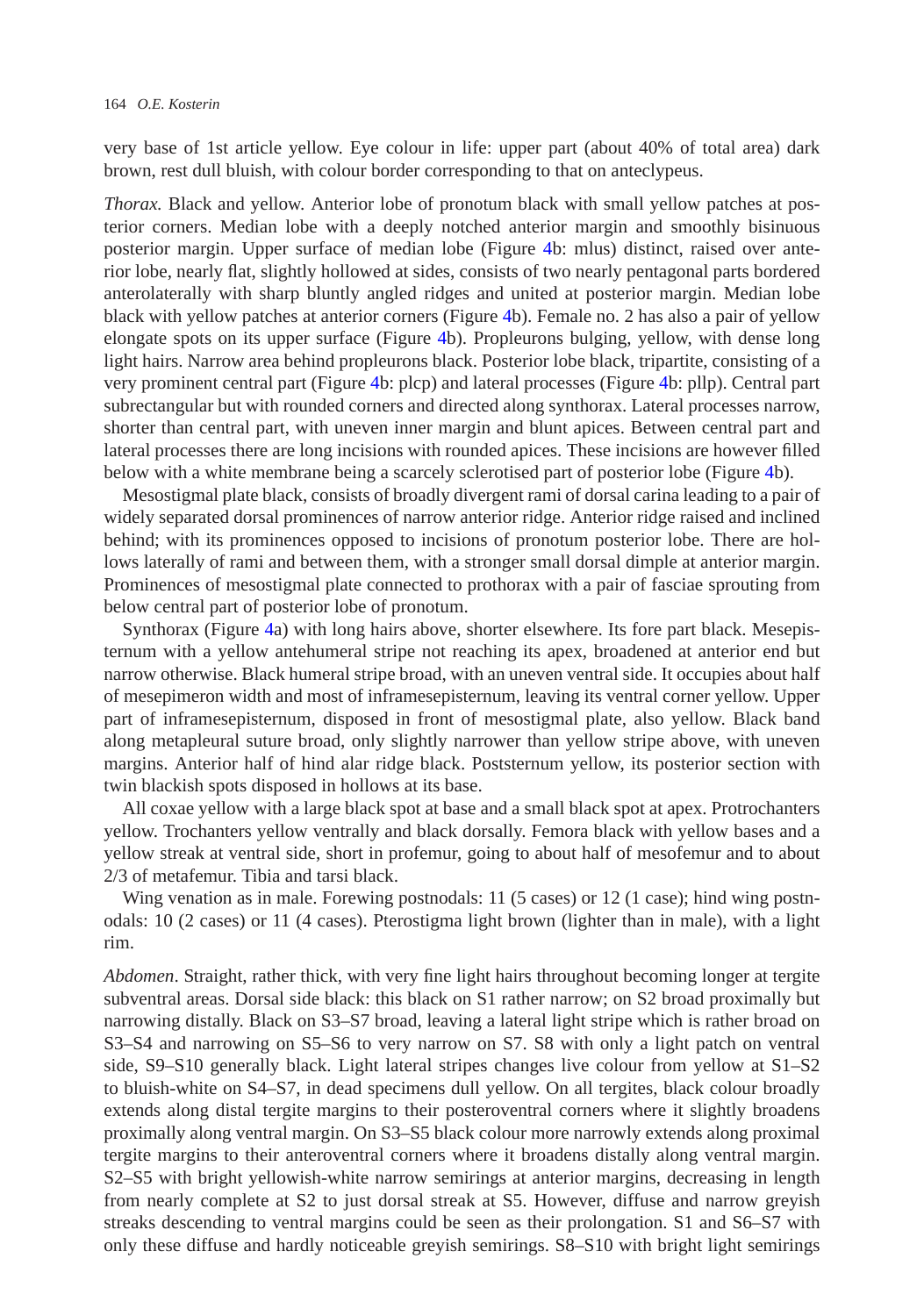very base of 1st article yellow. Eye colour in life: upper part (about 40% of total area) dark brown, rest dull bluish, with colour border corresponding to that on anteclypeus.

*Thorax.* Black and yellow. Anterior lobe of pronotum black with small yellow patches at posterior corners. Median lobe with a deeply notched anterior margin and smoothly bisinuous posterior margin. Upper surface of median lobe (Figure [4b](#page-5-0): mlus) distinct, raised over anterior lobe, nearly flat, slightly hollowed at sides, consists of two nearly pentagonal parts bordered anterolaterally with sharp bluntly angled ridges and united at posterior margin. Median lobe black with yellow patches at anterior corners (Figure [4b](#page-5-0)). Female no. 2 has also a pair of yellow elongate spots on its upper surface (Figure [4b](#page-5-0)). Propleurons bulging, yellow, with dense long light hairs. Narrow area behind propleurons black. Posterior lobe black, tripartite, consisting of a very prominent central part (Figure [4b](#page-5-0): plcp) and lateral processes (Figure [4b](#page-5-0): pllp). Central part subrectangular but with rounded corners and directed along synthorax. Lateral processes narrow, shorter than central part, with uneven inner margin and blunt apices. Between central part and lateral processes there are long incisions with rounded apices. These incisions are however filled below with a white membrane being a scarcely sclerotised part of posterior lobe (Figure [4b](#page-5-0)).

Mesostigmal plate black, consists of broadly divergent rami of dorsal carina leading to a pair of widely separated dorsal prominences of narrow anterior ridge. Anterior ridge raised and inclined behind; with its prominences opposed to incisions of pronotum posterior lobe. There are hollows laterally of rami and between them, with a stronger small dorsal dimple at anterior margin. Prominences of mesostigmal plate connected to prothorax with a pair of fasciae sprouting from below central part of posterior lobe of pronotum.

Synthorax (Figure [4a](#page-5-0)) with long hairs above, shorter elsewhere. Its fore part black. Mesepisternum with a yellow antehumeral stripe not reaching its apex, broadened at anterior end but narrow otherwise. Black humeral stripe broad, with an uneven ventral side. It occupies about half of mesepimeron width and most of inframesepisternum, leaving its ventral corner yellow. Upper part of inframesepisternum, disposed in front of mesostigmal plate, also yellow. Black band along metapleural suture broad, only slightly narrower than yellow stripe above, with uneven margins. Anterior half of hind alar ridge black. Poststernum yellow, its posterior section with twin blackish spots disposed in hollows at its base.

All coxae yellow with a large black spot at base and a small black spot at apex. Protrochanters yellow. Trochanters yellow ventrally and black dorsally. Femora black with yellow bases and a yellow streak at ventral side, short in profemur, going to about half of mesofemur and to about 2/3 of metafemur. Tibia and tarsi black.

Wing venation as in male. Forewing postnodals: 11 (5 cases) or 12 (1 case); hind wing postnodals: 10 (2 cases) or 11 (4 cases). Pterostigma light brown (lighter than in male), with a light rim.

*Abdomen*. Straight, rather thick, with very fine light hairs throughout becoming longer at tergite subventral areas. Dorsal side black: this black on S1 rather narrow; on S2 broad proximally but narrowing distally. Black on S3–S7 broad, leaving a lateral light stripe which is rather broad on S3–S4 and narrowing on S5–S6 to very narrow on S7. S8 with only a light patch on ventral side, S9–S10 generally black. Light lateral stripes changes live colour from yellow at S1–S2 to bluish-white on S4–S7, in dead specimens dull yellow. On all tergites, black colour broadly extends along distal tergite margins to their posteroventral corners where it slightly broadens proximally along ventral margin. On S3–S5 black colour more narrowly extends along proximal tergite margins to their anteroventral corners where it broadens distally along ventral margin. S2–S5 with bright yellowish-white narrow semirings at anterior margins, decreasing in length from nearly complete at S2 to just dorsal streak at S5. However, diffuse and narrow greyish streaks descending to ventral margins could be seen as their prolongation. S1 and S6–S7 with only these diffuse and hardly noticeable greyish semirings. S8–S10 with bright light semirings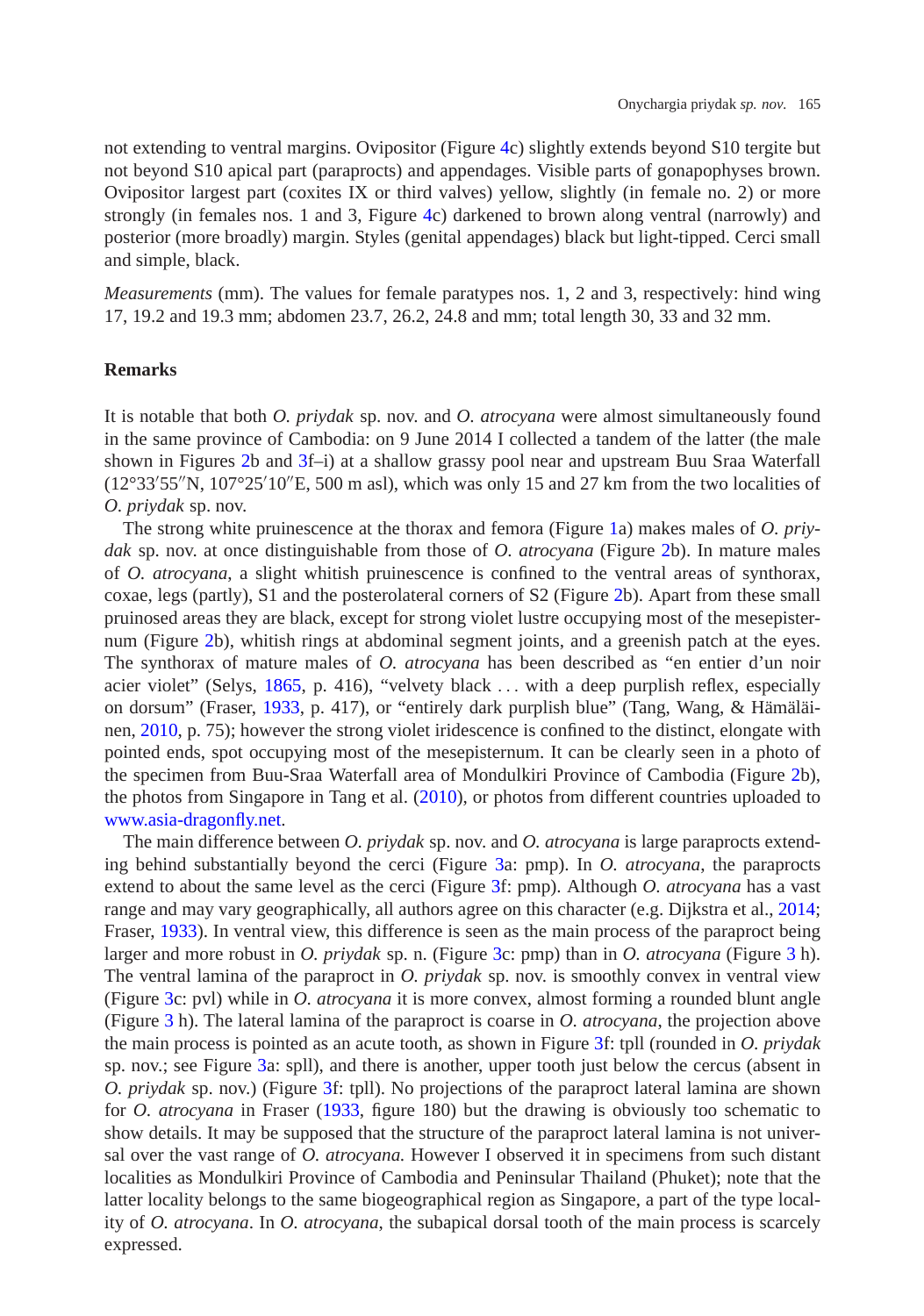not extending to ventral margins. Ovipositor (Figure [4c](#page-5-0)) slightly extends beyond S10 tergite but not beyond S10 apical part (paraprocts) and appendages. Visible parts of gonapophyses brown. Ovipositor largest part (coxites IX or third valves) yellow, slightly (in female no. 2) or more strongly (in females nos. 1 and 3, Figure [4c](#page-5-0)) darkened to brown along ventral (narrowly) and posterior (more broadly) margin. Styles (genital appendages) black but light-tipped. Cerci small and simple, black.

*Measurements* (mm). The values for female paratypes nos. 1, 2 and 3, respectively: hind wing 17, 19.2 and 19.3 mm; abdomen 23.7, 26.2, 24.8 and mm; total length 30, 33 and 32 mm.

## **Remarks**

It is notable that both *O. priydak* sp. nov. and *O. atrocyana* were almost simultaneously found in the same province of Cambodia: on 9 June 2014 I collected a tandem of the latter (the male shown in Figures [2b](#page-3-0) and [3f](#page-4-0)–i) at a shallow grassy pool near and upstream Buu Sraa Waterfall  $(12^{\circ}33'55''N, 107^{\circ}25'10''E, 500$  m asl), which was only 15 and 27 km from the two localities of *O. priydak* sp. nov.

The strong white pruinescence at the thorax and femora (Figure [1a](#page-2-0)) makes males of *O. priydak* sp. nov. at once distinguishable from those of *O. atrocyana* (Figure [2b](#page-3-0)). In mature males of *O. atrocyana*, a slight whitish pruinescence is confined to the ventral areas of synthorax, coxae, legs (partly), S1 and the posterolateral corners of S2 (Figure [2b](#page-3-0)). Apart from these small pruinosed areas they are black, except for strong violet lustre occupying most of the mesepisternum (Figure [2b](#page-3-0)), whitish rings at abdominal segment joints, and a greenish patch at the eyes. The synthorax of mature males of *O. atrocyana* has been described as "en entier d'un noir acier violet" (Selys, [1865,](#page-11-0) p. 416), "velvety black *...* with a deep purplish reflex, especially on dorsum" (Fraser, [1933,](#page-11-11) p. 417), or "entirely dark purplish blue" (Tang, Wang, & Hämäläinen, [2010,](#page-11-12) p. 75); however the strong violet iridescence is confined to the distinct, elongate with pointed ends, spot occupying most of the mesepisternum. It can be clearly seen in a photo of the specimen from Buu-Sraa Waterfall area of Mondulkiri Province of Cambodia (Figure [2b](#page-3-0)), the photos from Singapore in Tang et al. [\(2010\)](#page-11-12), or photos from different countries uploaded to [www.asia-dragonfly.net.](file:www.asia-dragonfly.net)

The main difference between *O. priydak* sp. nov. and *O. atrocyana* is large paraprocts extending behind substantially beyond the cerci (Figure [3a](#page-4-0): pmp). In *O. atrocyana*, the paraprocts extend to about the same level as the cerci (Figure [3f](#page-4-0): pmp). Although *O. atrocyana* has a vast range and may vary geographically, all authors agree on this character (e.g. Dijkstra et al., [2014;](#page-11-1) Fraser, [1933\)](#page-11-11). In ventral view, this difference is seen as the main process of the paraproct being larger and more robust in *O. priydak* sp. n. (Figure [3c](#page-4-0): pmp) than in *O. atrocyana* (Figure [3](#page-4-0) h). The ventral lamina of the paraproct in *O. priydak* sp. nov. is smoothly convex in ventral view (Figure [3c](#page-4-0): pvl) while in *O. atrocyana* it is more convex, almost forming a rounded blunt angle (Figure [3](#page-4-0) h). The lateral lamina of the paraproct is coarse in *O. atrocyana*, the projection above the main process is pointed as an acute tooth, as shown in Figure [3f](#page-4-0): tpll (rounded in *O. priydak* sp. nov.; see Figure [3a](#page-4-0): spll), and there is another, upper tooth just below the cercus (absent in *O. priydak* sp. nov.) (Figure [3f](#page-4-0): tpll). No projections of the paraproct lateral lamina are shown for *O. atrocyana* in Fraser [\(1933,](#page-11-11) figure 180) but the drawing is obviously too schematic to show details. It may be supposed that the structure of the paraproct lateral lamina is not universal over the vast range of *O. atrocyana.* However I observed it in specimens from such distant localities as Mondulkiri Province of Cambodia and Peninsular Thailand (Phuket); note that the latter locality belongs to the same biogeographical region as Singapore, a part of the type locality of *O. atrocyana*. In *O. atrocyana*, the subapical dorsal tooth of the main process is scarcely expressed.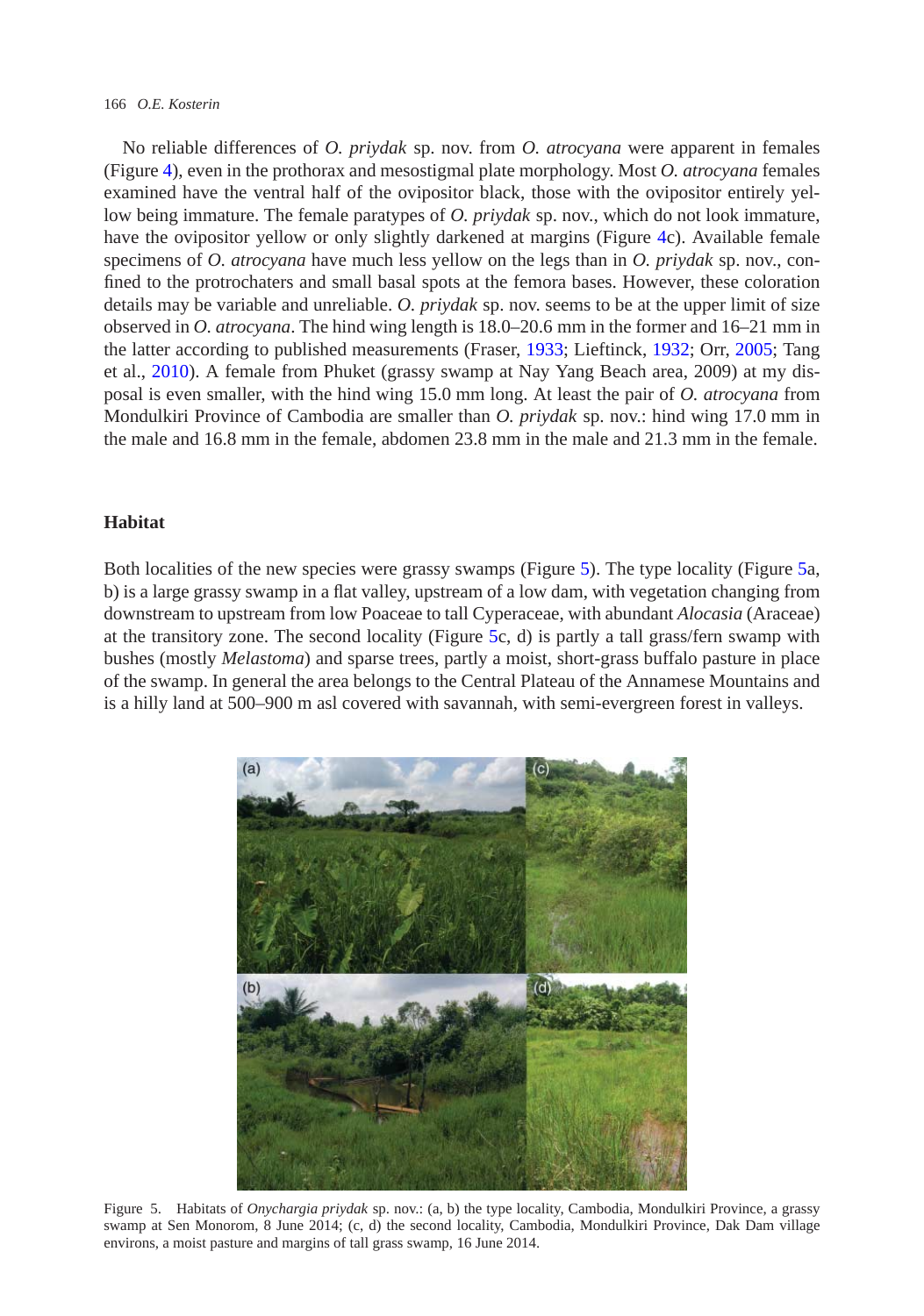#### 166 *O.E. Kosterin*

No reliable differences of *O. priydak* sp. nov. from *O. atrocyana* were apparent in females (Figure [4\)](#page-5-0), even in the prothorax and mesostigmal plate morphology. Most *O. atrocyana* females examined have the ventral half of the ovipositor black, those with the ovipositor entirely yellow being immature. The female paratypes of *O. priydak* sp. nov., which do not look immature, have the ovipositor yellow or only slightly darkened at margins (Figure [4c](#page-5-0)). Available female specimens of *O. atrocyana* have much less yellow on the legs than in *O. priydak* sp. nov., confined to the protrochaters and small basal spots at the femora bases. However, these coloration details may be variable and unreliable. *O. priydak* sp. nov. seems to be at the upper limit of size observed in *O. atrocyana*. The hind wing length is 18.0–20.6 mm in the former and 16–21 mm in the latter according to published measurements (Fraser, [1933;](#page-11-11) Lieftinck, [1932;](#page-11-13) Orr, [2005;](#page-11-14) Tang et al., [2010\)](#page-11-12). A female from Phuket (grassy swamp at Nay Yang Beach area, 2009) at my disposal is even smaller, with the hind wing 15.0 mm long. At least the pair of *O. atrocyana* from Mondulkiri Province of Cambodia are smaller than *O. priydak* sp. nov.: hind wing 17.0 mm in the male and 16.8 mm in the female, abdomen 23.8 mm in the male and 21.3 mm in the female.

#### **Habitat**

Both localities of the new species were grassy swamps (Figure [5\)](#page-9-0). The type locality (Figure [5a](#page-9-0), b) is a large grassy swamp in a flat valley, upstream of a low dam, with vegetation changing from downstream to upstream from low Poaceae to tall Cyperaceae, with abundant *Alocasia* (Araceae) at the transitory zone. The second locality (Figure [5c](#page-9-0), d) is partly a tall grass/fern swamp with bushes (mostly *Melastoma*) and sparse trees, partly a moist, short-grass buffalo pasture in place of the swamp. In general the area belongs to the Central Plateau of the Annamese Mountains and is a hilly land at 500–900 m asl covered with savannah, with semi-evergreen forest in valleys.

<span id="page-9-0"></span>

Figure 5. Habitats of *Onychargia priydak* sp. nov.: (a, b) the type locality, Cambodia, Mondulkiri Province, a grassy swamp at Sen Monorom, 8 June 2014; (c, d) the second locality, Cambodia, Mondulkiri Province, Dak Dam village environs, a moist pasture and margins of tall grass swamp, 16 June 2014.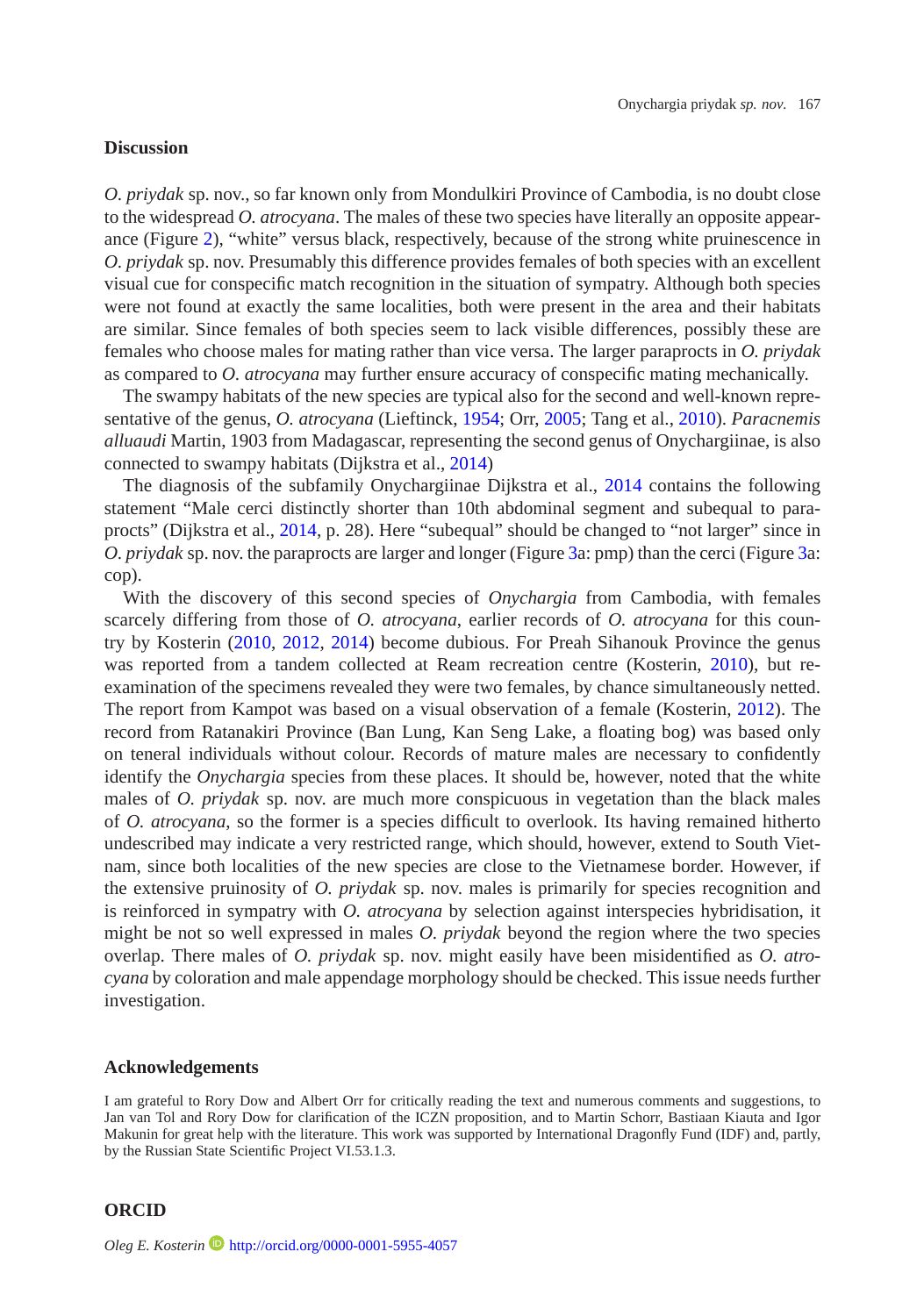#### **Discussion**

*O. priydak* sp. nov., so far known only from Mondulkiri Province of Cambodia, is no doubt close to the widespread *O. atrocyana*. The males of these two species have literally an opposite appearance (Figure [2\)](#page-3-0), "white" versus black, respectively, because of the strong white pruinescence in *O. priydak* sp. nov. Presumably this difference provides females of both species with an excellent visual cue for conspecific match recognition in the situation of sympatry. Although both species were not found at exactly the same localities, both were present in the area and their habitats are similar. Since females of both species seem to lack visible differences, possibly these are females who choose males for mating rather than vice versa. The larger paraprocts in *O. priydak* as compared to *O. atrocyana* may further ensure accuracy of conspecific mating mechanically.

The swampy habitats of the new species are typical also for the second and well-known representative of the genus, *O. atrocyana* (Lieftinck, [1954;](#page-11-10) Orr, [2005;](#page-11-14) Tang et al., [2010\)](#page-11-12). *Paracnemis alluaudi* Martin, 1903 from Madagascar, representing the second genus of Onychargiinae, is also connected to swampy habitats (Dijkstra et al., [2014\)](#page-11-1)

The diagnosis of the subfamily Onychargiinae Dijkstra et al., [2014](#page-11-1) contains the following statement "Male cerci distinctly shorter than 10th abdominal segment and subequal to paraprocts" (Dijkstra et al., [2014,](#page-11-1) p. 28). Here "subequal" should be changed to "not larger" since in *O. priydak* sp. nov. the paraprocts are larger and longer (Figure [3a](#page-4-0): pmp) than the cerci (Figure [3a](#page-4-0): cop).

With the discovery of this second species of *Onychargia* from Cambodia, with females scarcely differing from those of *O. atrocyana*, earlier records of *O. atrocyana* for this country by Kosterin [\(2010,](#page-11-15) [2012,](#page-11-16) [2014\)](#page-11-17) become dubious. For Preah Sihanouk Province the genus was reported from a tandem collected at Ream recreation centre (Kosterin, [2010\)](#page-11-15), but reexamination of the specimens revealed they were two females, by chance simultaneously netted. The report from Kampot was based on a visual observation of a female (Kosterin, [2012\)](#page-11-16). The record from Ratanakiri Province (Ban Lung, Kan Seng Lake, a floating bog) was based only on teneral individuals without colour. Records of mature males are necessary to confidently identify the *Onychargia* species from these places. It should be, however, noted that the white males of *O. priydak* sp. nov. are much more conspicuous in vegetation than the black males of *O. atrocyana*, so the former is a species difficult to overlook. Its having remained hitherto undescribed may indicate a very restricted range, which should, however, extend to South Vietnam, since both localities of the new species are close to the Vietnamese border. However, if the extensive pruinosity of *O. priydak* sp. nov. males is primarily for species recognition and is reinforced in sympatry with *O. atrocyana* by selection against interspecies hybridisation, it might be not so well expressed in males *O. priydak* beyond the region where the two species overlap. There males of *O. priydak* sp. nov. might easily have been misidentified as *O. atrocyana* by coloration and male appendage morphology should be checked. This issue needs further investigation.

#### **Acknowledgements**

I am grateful to Rory Dow and Albert Orr for critically reading the text and numerous comments and suggestions, to Jan van Tol and Rory Dow for clarification of the ICZN proposition, and to Martin Schorr, Bastiaan Kiauta and Igor Makunin for great help with the literature. This work was supported by International Dragonfly Fund (IDF) and, partly, by the Russian State Scientific Project VI.53.1.3.

#### **ORCID**